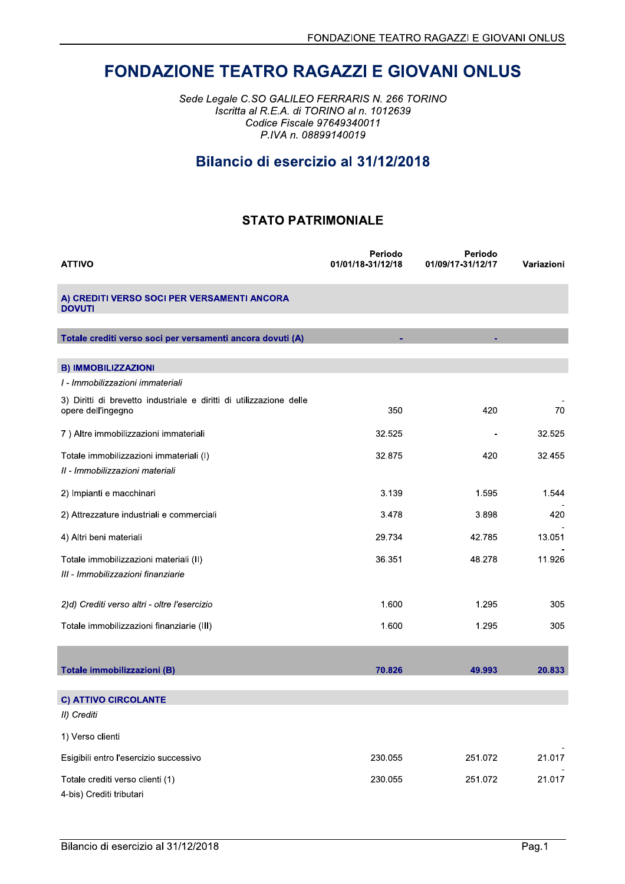# **FONDAZIONE TEATRO RAGAZZI E GIOVANI ONLUS**

Sede Legale C.SO GALILEO FERRARIS N. 266 TORINO Iscritta al R.E.A. di TORINO al n. 1012639 Codice Fiscale 97649340011 P.IVA n. 08899140019

# Bilancio di esercizio al 31/12/2018

### **STATO PATRIMONIALE**

| <b>ATTIVO</b>                                                                             | Periodo<br>01/01/18-31/12/18 | Periodo<br>01/09/17-31/12/17 | Variazioni |
|-------------------------------------------------------------------------------------------|------------------------------|------------------------------|------------|
| A) CREDITI VERSO SOCI PER VERSAMENTI ANCORA<br><b>DOVUTI</b>                              |                              |                              |            |
| Totale crediti verso soci per versamenti ancora dovuti (A)                                | ٠                            | ٠                            |            |
| <b>B) IMMOBILIZZAZIONI</b>                                                                |                              |                              |            |
| I - Immobilizzazioni immateriali                                                          |                              |                              |            |
| 3) Diritti di brevetto industriale e diritti di utilizzazione delle<br>opere dell'ingegno | 350                          | 420                          | 70         |
| 7) Altre immobilizzazioni immateriali                                                     | 32.525                       |                              | 32.525     |
| Totale immobilizzazioni immateriali (I)<br>II - Immobilizzazioni materiali                | 32.875                       | 420                          | 32.455     |
| 2) Impianti e macchinari                                                                  | 3.139                        | 1.595                        | 1.544      |
| 2) Attrezzature industriali e commerciali                                                 | 3.478                        | 3.898                        | 420        |
| 4) Altri beni materiali                                                                   | 29.734                       | 42.785                       | 13.051     |
| Totale immobilizzazioni materiali (II)<br>III - Immobilizzazioni finanziarie              | 36.351                       | 48.278                       | 11.926     |
| 2)d) Crediti verso altri - oltre l'esercizio                                              | 1.600                        | 1.295                        | 305        |
| Totale immobilizzazioni finanziarie (III)                                                 | 1.600                        | 1.295                        | 305        |
|                                                                                           |                              |                              |            |
| Totale immobilizzazioni (B)                                                               | 70.826                       | 49.993                       | 20.833     |
| <b>C) ATTIVO CIRCOLANTE</b>                                                               |                              |                              |            |
| II) Crediti                                                                               |                              |                              |            |
| 1) Verso clienti                                                                          |                              |                              |            |
| Esigibili entro l'esercizio successivo                                                    | 230.055                      | 251.072                      | 21.017     |
| Totale crediti verso clienti (1)<br>4-bis) Crediti tributari                              | 230.055                      | 251.072                      | 21.017     |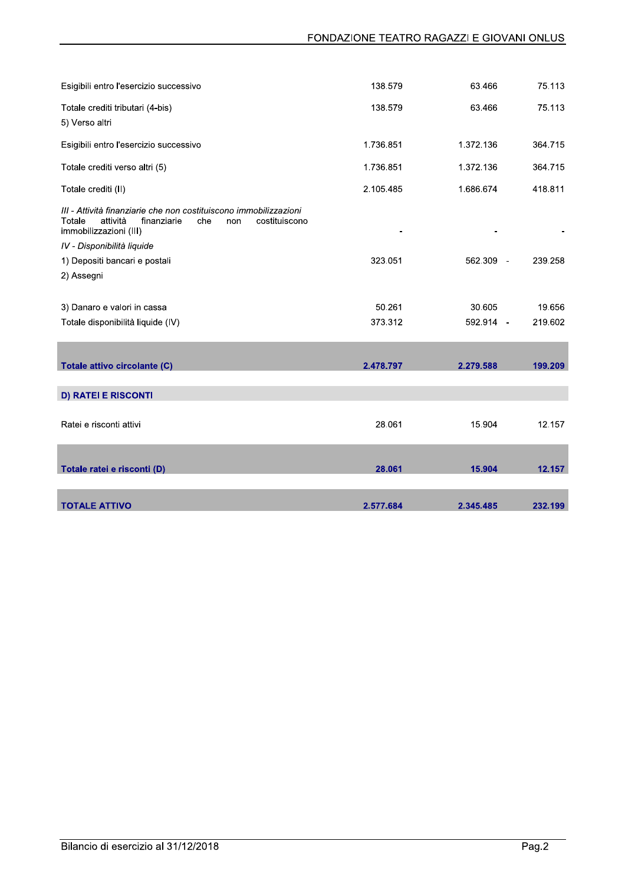| Esigibili entro l'esercizio successivo                                                                                                                          | 138.579   | 63.466    | 75.113  |
|-----------------------------------------------------------------------------------------------------------------------------------------------------------------|-----------|-----------|---------|
| Totale crediti tributari (4-bis)                                                                                                                                | 138.579   | 63.466    | 75.113  |
| 5) Verso altri                                                                                                                                                  |           |           |         |
| Esigibili entro l'esercizio successivo                                                                                                                          | 1.736.851 | 1.372.136 | 364.715 |
| Totale crediti verso altri (5)                                                                                                                                  | 1.736.851 | 1.372.136 | 364.715 |
| Totale crediti (II)                                                                                                                                             | 2.105.485 | 1.686.674 | 418.811 |
| III - Attività finanziarie che non costituiscono immobilizzazioni<br>Totale<br>attività<br>costituiscono<br>finanziarie<br>che<br>non<br>immobilizzazioni (III) |           |           |         |
| IV - Disponibilità liquide                                                                                                                                      |           |           |         |
| 1) Depositi bancari e postali                                                                                                                                   | 323.051   | 562.309 - | 239.258 |
| 2) Assegni                                                                                                                                                      |           |           |         |
|                                                                                                                                                                 |           |           |         |
| 3) Danaro e valori in cassa                                                                                                                                     | 50.261    | 30.605    | 19.656  |
| Totale disponibilità liquide (IV)                                                                                                                               | 373.312   | 592.914 - | 219.602 |
|                                                                                                                                                                 |           |           |         |
| Totale attivo circolante (C)                                                                                                                                    | 2.478.797 | 2.279.588 | 199.209 |
| <b>D) RATEI E RISCONTI</b>                                                                                                                                      |           |           |         |
|                                                                                                                                                                 |           |           |         |
| Ratei e risconti attivi                                                                                                                                         | 28.061    | 15.904    | 12.157  |
|                                                                                                                                                                 |           |           |         |
| Totale ratei e risconti (D)                                                                                                                                     | 28.061    | 15.904    | 12.157  |
|                                                                                                                                                                 |           |           |         |
| <b>TOTALE ATTIVO</b>                                                                                                                                            | 2.577.684 | 2.345.485 | 232.199 |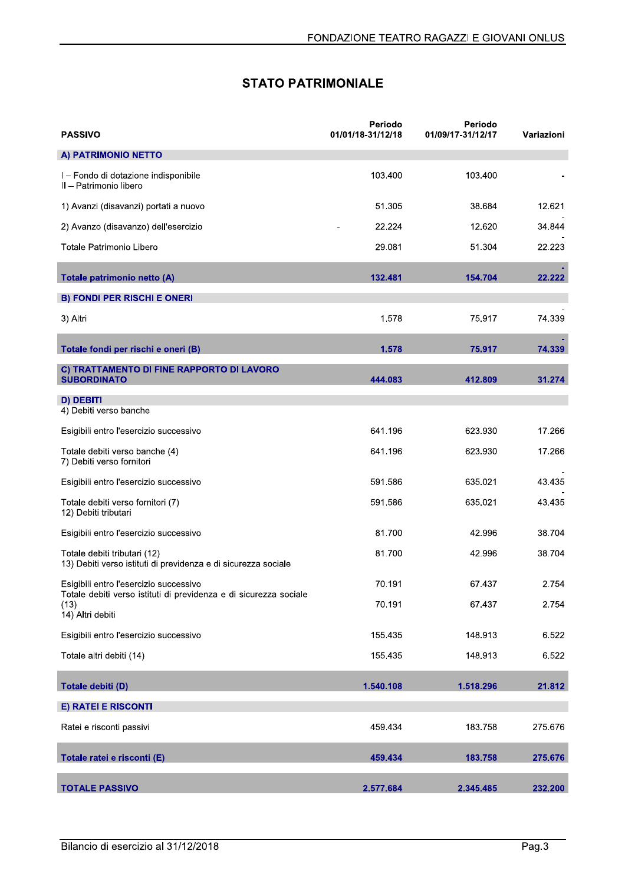| FONDAZIONE TEATRO RAGAZZI E GIOVANI ONLUS                                                                   |                              |                              |            |
|-------------------------------------------------------------------------------------------------------------|------------------------------|------------------------------|------------|
|                                                                                                             | <b>STATO PATRIMONIALE</b>    |                              |            |
| <b>PASSIVO</b>                                                                                              | Periodo<br>01/01/18-31/12/18 | Periodo<br>01/09/17-31/12/17 | Variazioni |
| A) PATRIMONIO NETTO                                                                                         |                              |                              |            |
| I - Fondo di dotazione indisponibile<br>II - Patrimonio libero                                              | 103.400                      | 103.400                      |            |
| 1) Avanzi (disavanzi) portati a nuovo                                                                       | 51.305                       | 38.684                       | 12.621     |
| 2) Avanzo (disavanzo) dell'esercizio                                                                        | 22.224                       | 12.620                       | 34.844     |
| Totale Patrimonio Libero                                                                                    | 29.081                       | 51.304                       | 22.223     |
| Totale patrimonio netto (A)                                                                                 | 132.481                      | 154.704                      | 22.222     |
| <b>B) FONDI PER RISCHI E ONERI</b>                                                                          |                              |                              |            |
| 3) Altri                                                                                                    | 1.578                        | 75.917                       | 74.339     |
| Totale fondi per rischi e oneri (B)                                                                         | 1.578                        | 75.917                       | 74.339     |
| C) TRATTAMENTO DI FINE RAPPORTO DI LAVORO<br><b>SUBORDINATO</b>                                             | 444.083                      | 412.809                      | 31.274     |
| D) DEBITI<br>4) Debiti verso banche                                                                         |                              |                              |            |
| Esigibili entro l'esercizio successivo                                                                      | 641.196                      | 623.930                      | 17.266     |
| Totale debiti verso banche (4)<br>7) Debiti verso fornitori                                                 | 641.196                      | 623.930                      | 17.266     |
| Esigibili entro l'esercizio successivo                                                                      | 591.586                      | 635.021                      | 43 4 35    |
| Totale debiti verso fornitori (7)<br>12) Debiti tributari                                                   | 591.586                      | 635.021                      | 43.435     |
| Esigibili entro l'esercizio successivo                                                                      | 81.700                       | 42.996                       | 38.704     |
| Totale debiti tributari (12)<br>13) Debiti verso istituti di previdenza e di sicurezza sociale              | 81.700                       | 42.996                       | 38.704     |
| Esigibili entro l'esercizio successivo<br>Totale debiti verso istituti di previdenza e di sicurezza sociale | 70.191                       | 67.437                       | 2.754      |
| (13)<br>14) Altri debiti                                                                                    | 70.191                       | 67.437                       | 2.754      |
| Esigibili entro l'esercizio successivo                                                                      | 155.435                      | 148.913                      | 6.522      |
| Totale altri debiti (14)                                                                                    | 155.435                      | 148.913                      | 6.522      |
| Totale debiti (D)                                                                                           | 1.540.108                    | 1.518.296                    | 21.812     |
| <b>E) RATEI E RISCONTI</b>                                                                                  |                              |                              |            |
| Ratei e risconti passivi                                                                                    | 459.434                      | 183.758                      | 275.676    |
| Totale ratei e risconti (E)                                                                                 | 459.434                      | 183.758                      | 275.676    |
| <b>TOTALE PASSIVO</b>                                                                                       | 2.577.684                    | 2.345.485                    | 232.200    |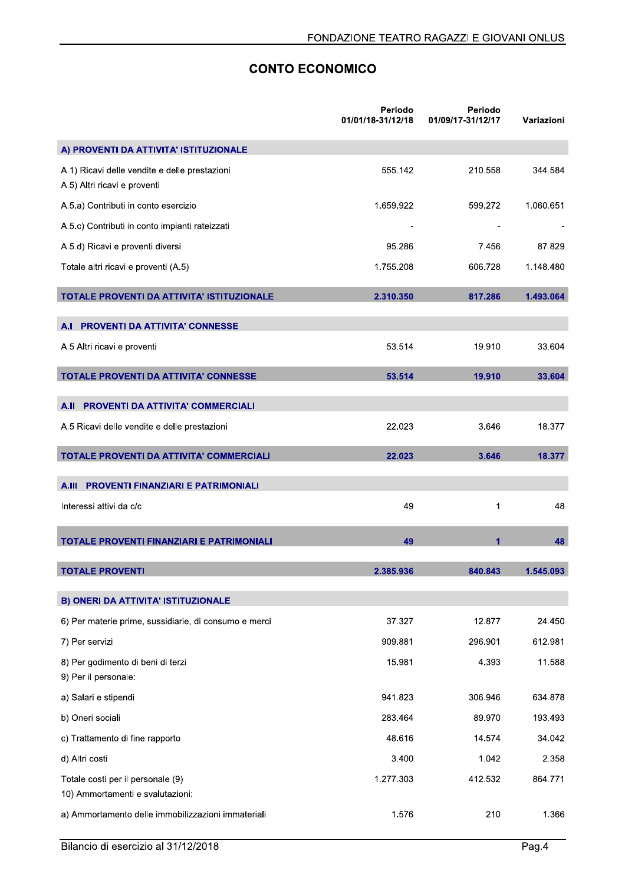## **CONTO ECONOMICO**

|                                                                               | Periodo<br>01/01/18-31/12/18 | Periodo<br>01/09/17-31/12/17 | Variazioni |
|-------------------------------------------------------------------------------|------------------------------|------------------------------|------------|
| A) PROVENTI DA ATTIVITA' ISTITUZIONALE                                        |                              |                              |            |
| A.1) Ricavi delle vendite e delle prestazioni<br>A.5) Altri ricavi e proventi | 555.142                      | 210.558                      | 344.584    |
| A.5.a) Contributi in conto esercizio                                          | 1.659.922                    | 599.272                      | 1.060.651  |
| A.5.c) Contributi in conto impianti rateizzati                                |                              |                              |            |
| A.5.d) Ricavi e proventi diversi                                              | 95.286                       | 7.456                        | 87.829     |
| Totale altri ricavi e proventi (A.5)                                          | 1.755.208                    | 606.728                      | 1.148.480  |
| <b>TOTALE PROVENTI DA ATTIVITA' ISTITUZIONALE</b>                             | 2.310.350                    | 817.286                      | 1.493.064  |
| A.I PROVENTI DA ATTIVITA' CONNESSE                                            |                              |                              |            |
| A.5 Altri ricavi e proventi                                                   | 53.514                       | 19.910                       | 33.604     |
| TOTALE PROVENTI DA ATTIVITA' CONNESSE                                         | 53.514                       | 19.910                       | 33.604     |
| PROVENTI DA ATTIVITA' COMMERCIALI<br>A.II                                     |                              |                              |            |
| A.5 Ricavi delle vendite e delle prestazioni                                  | 22.023                       | 3.646                        | 18.377     |
| TOTALE PROVENTI DA ATTIVITA' COMMERCIALI                                      | 22.023                       | 3.646                        | 18.377     |
| A.III PROVENTI FINANZIARI E PATRIMONIALI                                      |                              |                              |            |
| Interessi attivi da c/c                                                       | 49                           | 1                            | 48         |
| <b>TOTALE PROVENTI FINANZIARI E PATRIMONIALI</b>                              | 49                           | 1                            | 48         |
| <b>TOTALE PROVENTI</b>                                                        | 2.385.936                    | 840.843                      | 1.545.093  |
| B) ONERI DA ATTIVITA' ISTITUZIONALE                                           |                              |                              |            |
| 6) Per materie prime, sussidiarie, di consumo e merci                         | 37.327                       | 12.877                       | 24.450     |
| 7) Per servizi                                                                | 909.881                      | 296.901                      | 612.981    |
| 8) Per godimento di beni di terzi<br>9) Per il personale:                     | 15.981                       | 4.393                        | 11.588     |
| a) Salari e stipendi                                                          | 941.823                      | 306.946                      | 634.878    |
| b) Oneri sociali                                                              | 283.464                      | 89.970                       | 193.493    |
| c) Trattamento di fine rapporto                                               | 48.616                       | 14.574                       | 34.042     |
| d) Altri costi                                                                | 3.400                        | 1.042                        | 2.358      |
| Totale costi per il personale (9)<br>10) Ammortamenti e svalutazioni:         | 1.277.303                    | 412.532                      | 864.771    |
| a) Ammortamento delle immobilizzazioni immateriali                            | 1.576                        | 210                          | 1.366      |